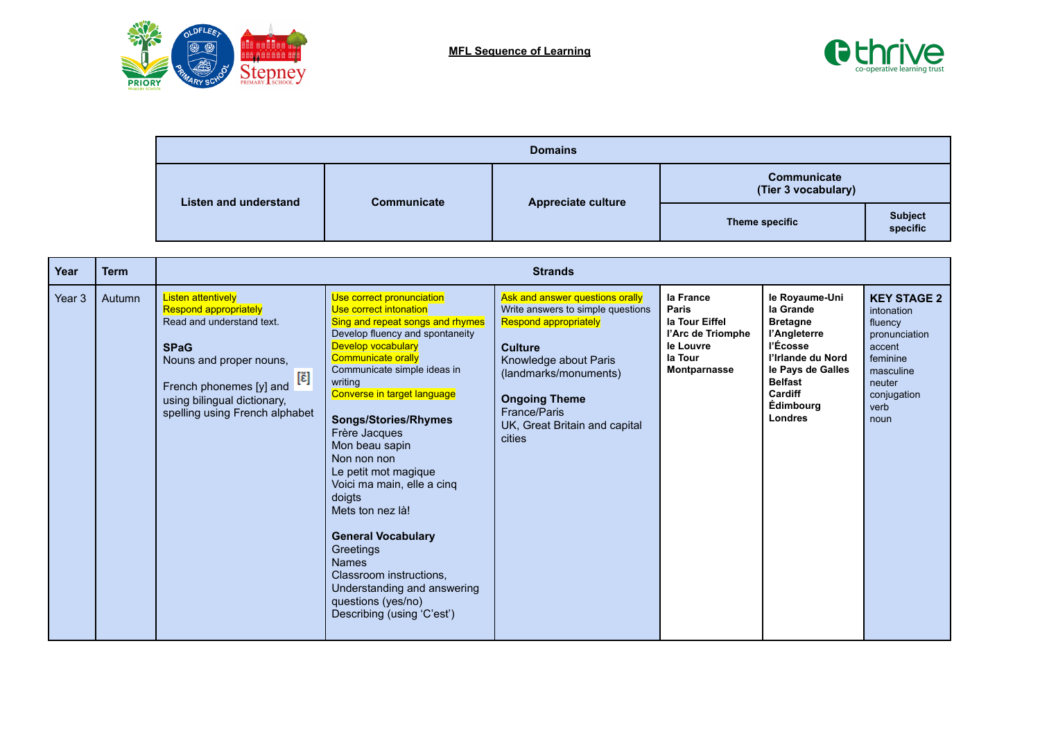



| <b>Domains</b>               |                    |                    |                                    |                            |  |  |  |  |
|------------------------------|--------------------|--------------------|------------------------------------|----------------------------|--|--|--|--|
| <b>Listen and understand</b> |                    | Appreciate culture | Communicate<br>(Tier 3 vocabulary) |                            |  |  |  |  |
|                              | <b>Communicate</b> |                    | Theme specific                     | <b>Subject</b><br>specific |  |  |  |  |

| Year   | <b>Term</b>   |                                                                                                                                                                                                                                      |                                                                                                                                                                                                                                                                                                                                                                                                                                                                                                                                                                                              | <b>Strands</b>                                                                                                                                                                                                                                              |                                                                                                   |                                                                                                                                                                                  |                                                                                                                                          |
|--------|---------------|--------------------------------------------------------------------------------------------------------------------------------------------------------------------------------------------------------------------------------------|----------------------------------------------------------------------------------------------------------------------------------------------------------------------------------------------------------------------------------------------------------------------------------------------------------------------------------------------------------------------------------------------------------------------------------------------------------------------------------------------------------------------------------------------------------------------------------------------|-------------------------------------------------------------------------------------------------------------------------------------------------------------------------------------------------------------------------------------------------------------|---------------------------------------------------------------------------------------------------|----------------------------------------------------------------------------------------------------------------------------------------------------------------------------------|------------------------------------------------------------------------------------------------------------------------------------------|
| Year 3 | <b>Autumn</b> | <b>Listen attentively</b><br><b>Respond appropriately</b><br>Read and understand text.<br><b>SPaG</b><br>Nouns and proper nouns,<br>[ɛ̃]<br>French phonemes [y] and<br>using bilingual dictionary,<br>spelling using French alphabet | Use correct pronunciation<br>Use correct intonation<br>Sing and repeat songs and rhymes<br>Develop fluency and spontaneity<br>Develop vocabulary<br>Communicate orally<br>Communicate simple ideas in<br>writing<br>Converse in target language<br><b>Songs/Stories/Rhymes</b><br>Frère Jacques<br>Mon beau sapin<br>Non non non<br>Le petit mot magique<br>Voici ma main, elle a cinq<br>doigts<br>Mets ton nez là!<br><b>General Vocabulary</b><br>Greetings<br><b>Names</b><br>Classroom instructions.<br>Understanding and answering<br>questions (yes/no)<br>Describing (using 'C'est') | Ask and answer questions orally<br>Write answers to simple questions<br><b>Respond appropriately</b><br><b>Culture</b><br>Knowledge about Paris<br>(landmarks/monuments)<br><b>Ongoing Theme</b><br>France/Paris<br>UK, Great Britain and capital<br>cities | la France<br>Paris<br>la Tour Eiffel<br>l'Arc de Triomphe<br>le Louvre<br>la Tour<br>Montparnasse | le Royaume-Uni<br>la Grande<br><b>Bretagne</b><br>l'Angleterre<br>l'Écosse<br>l'Irlande du Nord<br>le Pays de Galles<br><b>Belfast</b><br>Cardiff<br><b>Édimbourg</b><br>Londres | <b>KEY STAGE 2</b><br>intonation<br>fluency<br>pronunciation<br>accent<br>feminine<br>masculine<br>neuter<br>conjugation<br>verb<br>noun |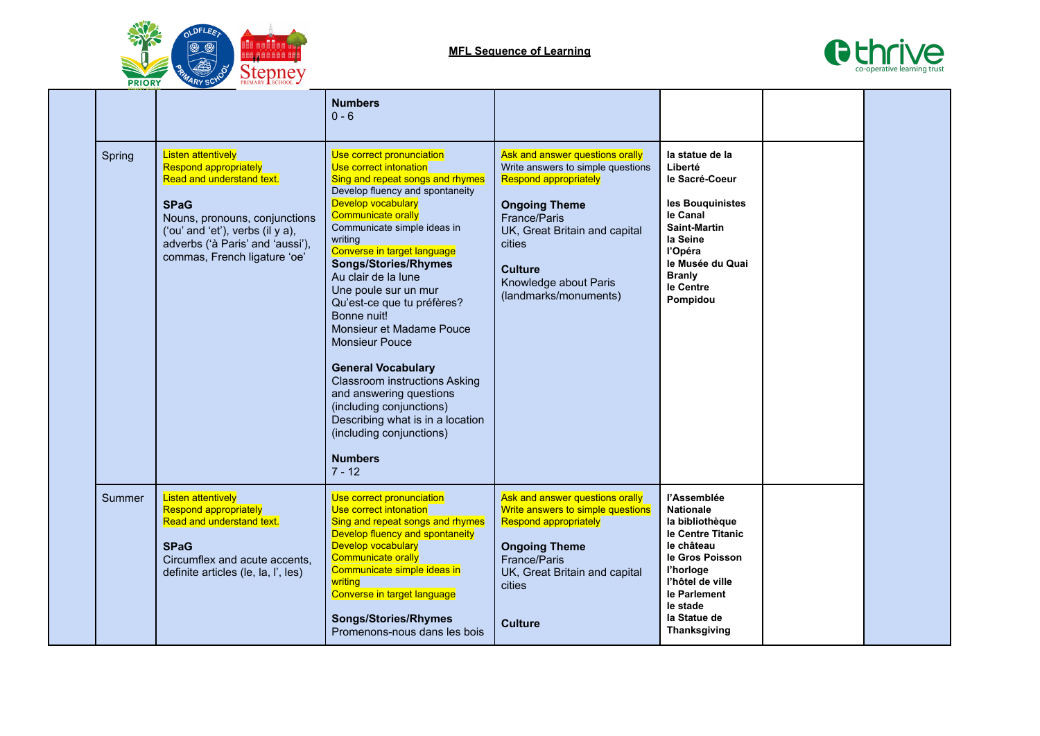



|        |                                                                                                                                                                                                                                                | <b>Numbers</b><br>$0 - 6$                                                                                                                                                                                                                                                                                                                                                                                                                                                                                                                                                                                                                                        |                                                                                                                                                                                                                                                             |                                                                                                                                                                                                              |  |
|--------|------------------------------------------------------------------------------------------------------------------------------------------------------------------------------------------------------------------------------------------------|------------------------------------------------------------------------------------------------------------------------------------------------------------------------------------------------------------------------------------------------------------------------------------------------------------------------------------------------------------------------------------------------------------------------------------------------------------------------------------------------------------------------------------------------------------------------------------------------------------------------------------------------------------------|-------------------------------------------------------------------------------------------------------------------------------------------------------------------------------------------------------------------------------------------------------------|--------------------------------------------------------------------------------------------------------------------------------------------------------------------------------------------------------------|--|
| Spring | <b>Listen attentively</b><br><b>Respond appropriately</b><br>Read and understand text.<br><b>SPaG</b><br>Nouns, pronouns, conjunctions<br>('ou' and 'et'), verbs (il y a),<br>adverbs ('à Paris' and 'aussi'),<br>commas, French ligature 'oe' | Use correct pronunciation<br>Use correct intonation<br>Sing and repeat songs and rhymes<br>Develop fluency and spontaneity<br>Develop vocabulary<br><b>Communicate orally</b><br>Communicate simple ideas in<br>writina<br>Converse in target language<br><b>Songs/Stories/Rhymes</b><br>Au clair de la lune<br>Une poule sur un mur<br>Qu'est-ce que tu préfères?<br>Bonne nuit!<br>Monsieur et Madame Pouce<br><b>Monsieur Pouce</b><br><b>General Vocabulary</b><br><b>Classroom instructions Asking</b><br>and answering questions<br>(including conjunctions)<br>Describing what is in a location<br>(including conjunctions)<br><b>Numbers</b><br>$7 - 12$ | Ask and answer questions orally<br>Write answers to simple questions<br><b>Respond appropriately</b><br><b>Ongoing Theme</b><br>France/Paris<br>UK, Great Britain and capital<br>cities<br><b>Culture</b><br>Knowledge about Paris<br>(landmarks/monuments) | la statue de la<br>Liberté<br>le Sacré-Coeur<br>les Bouquinistes<br>le Canal<br><b>Saint-Martin</b><br>la Seine<br>l'Opéra<br>le Musée du Quai<br><b>Branly</b><br>le Centre<br>Pompidou                     |  |
| Summer | <b>Listen attentively</b><br><b>Respond appropriately</b><br>Read and understand text.<br><b>SPaG</b><br>Circumflex and acute accents,<br>definite articles (le, la, l', les)                                                                  | Use correct pronunciation<br>Use correct intonation<br>Sing and repeat songs and rhymes<br>Develop fluency and spontaneity<br><b>Develop vocabulary</b><br><b>Communicate orally</b><br>Communicate simple ideas in<br>writing<br>Converse in target language<br><b>Songs/Stories/Rhymes</b><br>Promenons-nous dans les bois                                                                                                                                                                                                                                                                                                                                     | Ask and answer questions orally<br>Write answers to simple questions<br><b>Respond appropriately</b><br><b>Ongoing Theme</b><br>France/Paris<br>UK, Great Britain and capital<br>cities<br><b>Culture</b>                                                   | l'Assemblée<br><b>Nationale</b><br>la bibliothèque<br>le Centre Titanic<br>le château<br>le Gros Poisson<br>l'horloge<br>l'hôtel de ville<br>le Parlement<br>le stade<br>la Statue de<br><b>Thanksgiving</b> |  |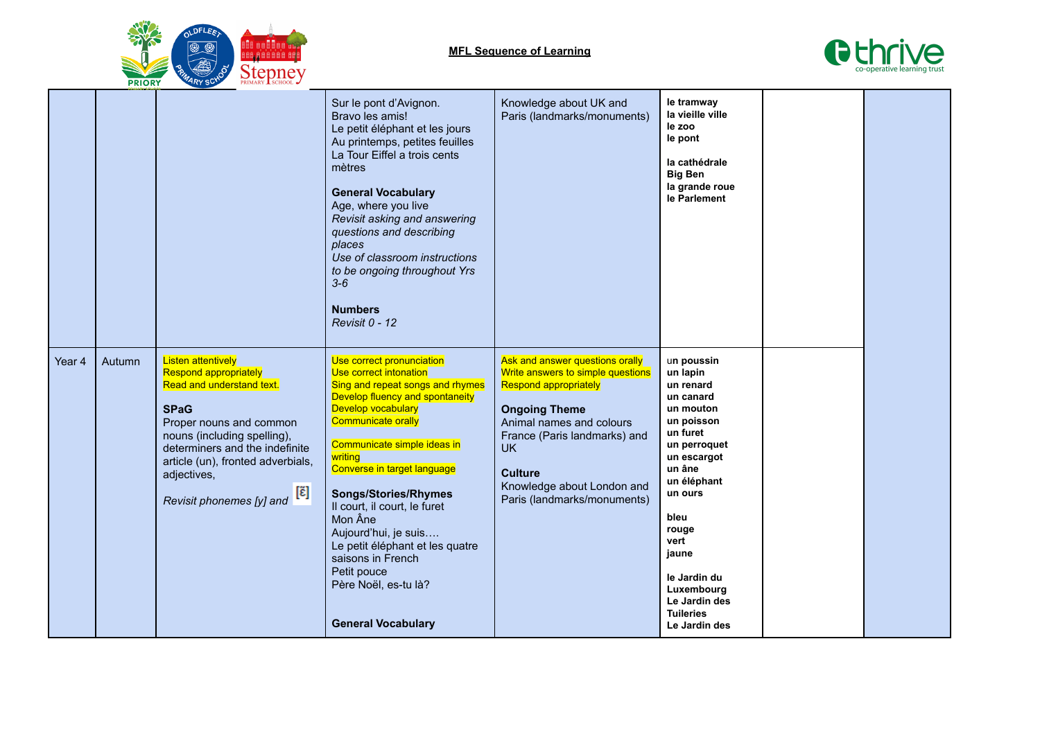



|        |        |                                                                                                                                                                                                                                                                                                        | Sur le pont d'Avignon.<br>Bravo les amis!<br>Le petit éléphant et les jours<br>Au printemps, petites feuilles<br>La Tour Eiffel a trois cents<br>mètres<br><b>General Vocabulary</b><br>Age, where you live<br>Revisit asking and answering<br>questions and describing<br>places<br>Use of classroom instructions<br>to be ongoing throughout Yrs<br>$3-6$<br><b>Numbers</b><br>Revisit 0 - 12                                                                                      | Knowledge about UK and<br>Paris (landmarks/monuments)                                                                                                                                                                                                                                | le tramway<br>la vieille ville<br>le zoo<br>le pont<br>la cathédrale<br><b>Big Ben</b><br>la grande roue<br>le Parlement                                                                                                                                                         |  |
|--------|--------|--------------------------------------------------------------------------------------------------------------------------------------------------------------------------------------------------------------------------------------------------------------------------------------------------------|--------------------------------------------------------------------------------------------------------------------------------------------------------------------------------------------------------------------------------------------------------------------------------------------------------------------------------------------------------------------------------------------------------------------------------------------------------------------------------------|--------------------------------------------------------------------------------------------------------------------------------------------------------------------------------------------------------------------------------------------------------------------------------------|----------------------------------------------------------------------------------------------------------------------------------------------------------------------------------------------------------------------------------------------------------------------------------|--|
| Year 4 | Autumn | <b>Listen attentively</b><br><b>Respond appropriately</b><br>Read and understand text.<br><b>SPaG</b><br>Proper nouns and common<br>nouns (including spelling),<br>determiners and the indefinite<br>article (un), fronted adverbials,<br>adjectives,<br>Revisit phonemes [y] and $[\tilde{\epsilon}]$ | Use correct pronunciation<br>Use correct intonation<br>Sing and repeat songs and rhymes<br>Develop fluency and spontaneity<br>Develop vocabulary<br><b>Communicate orally</b><br>Communicate simple ideas in<br>writing<br>Converse in target language<br><b>Songs/Stories/Rhymes</b><br>Il court, il court, le furet<br>Mon Âne<br>Aujourd'hui, je suis<br>Le petit éléphant et les quatre<br>saisons in French<br>Petit pouce<br>Père Noël, es-tu là?<br><b>General Vocabulary</b> | Ask and answer questions orally<br>Write answers to simple questions<br><b>Respond appropriately</b><br><b>Ongoing Theme</b><br>Animal names and colours<br>France (Paris landmarks) and<br><b>UK</b><br><b>Culture</b><br>Knowledge about London and<br>Paris (landmarks/monuments) | un poussin<br>un lapin<br>un renard<br>un canard<br>un mouton<br>un poisson<br>un furet<br>un perroquet<br>un escargot<br>un âne<br>un éléphant<br>un ours<br>bleu<br>rouge<br>vert<br>jaune<br>le Jardin du<br>Luxembourg<br>Le Jardin des<br><b>Tuileries</b><br>Le Jardin des |  |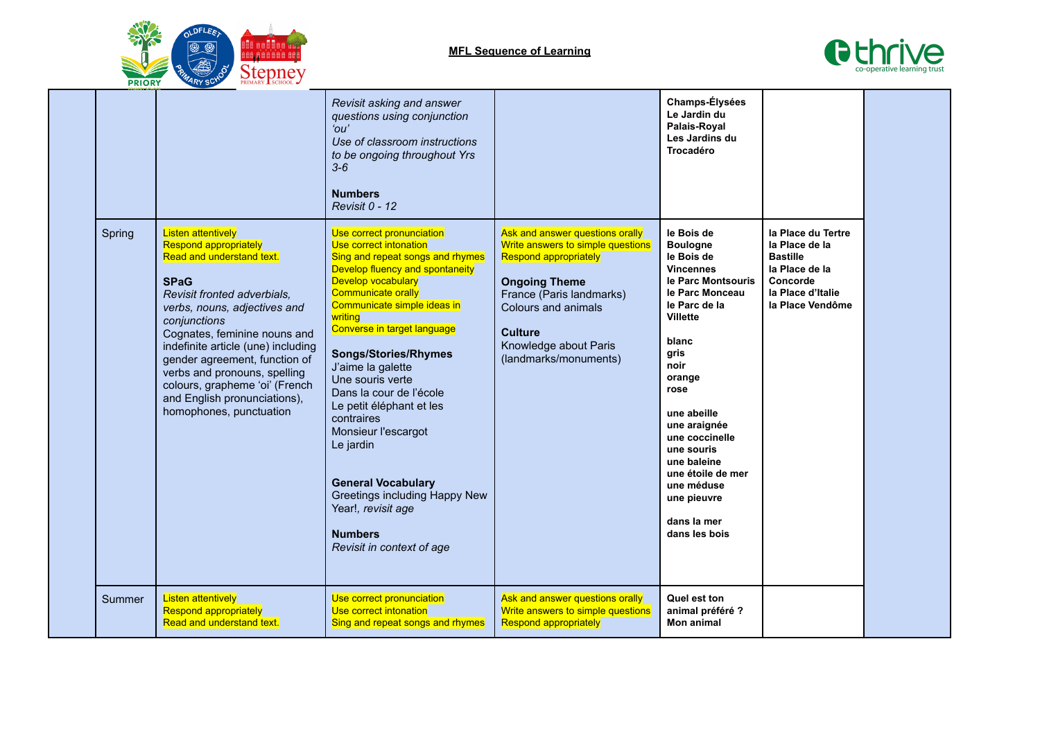



|        |                                                                                                                                                                                                                                                                                                                                                                                                                          | Revisit asking and answer<br>questions using conjunction<br>$^{\prime}$ nu'<br>Use of classroom instructions<br>to be ongoing throughout Yrs<br>$3 - 6$<br><b>Numbers</b><br>Revisit 0 - 12                                                                                                                                                                                                                                                                                                                                                                                       |                                                                                                                                                                                                                                                     | Champs-Élysées<br>Le Jardin du<br>Palais-Royal<br>Les Jardins du<br>Trocadéro                                                                                                                                                                                                                                                                           |                                                                                                                                |  |
|--------|--------------------------------------------------------------------------------------------------------------------------------------------------------------------------------------------------------------------------------------------------------------------------------------------------------------------------------------------------------------------------------------------------------------------------|-----------------------------------------------------------------------------------------------------------------------------------------------------------------------------------------------------------------------------------------------------------------------------------------------------------------------------------------------------------------------------------------------------------------------------------------------------------------------------------------------------------------------------------------------------------------------------------|-----------------------------------------------------------------------------------------------------------------------------------------------------------------------------------------------------------------------------------------------------|---------------------------------------------------------------------------------------------------------------------------------------------------------------------------------------------------------------------------------------------------------------------------------------------------------------------------------------------------------|--------------------------------------------------------------------------------------------------------------------------------|--|
| Spring | <b>Listen attentively</b><br><b>Respond appropriately</b><br>Read and understand text.<br><b>SPaG</b><br>Revisit fronted adverbials,<br>verbs, nouns, adjectives and<br>conjunctions<br>Cognates, feminine nouns and<br>indefinite article (une) including<br>gender agreement, function of<br>verbs and pronouns, spelling<br>colours, grapheme 'oi' (French<br>and English pronunciations),<br>homophones, punctuation | Use correct pronunciation<br>Use correct intonation<br>Sing and repeat songs and rhymes<br>Develop fluency and spontaneity<br><b>Develop vocabulary</b><br><b>Communicate orally</b><br>Communicate simple ideas in<br>writing<br>Converse in target language<br><b>Songs/Stories/Rhymes</b><br>J'aime la galette<br>Une souris verte<br>Dans la cour de l'école<br>Le petit éléphant et les<br>contraires<br>Monsieur l'escargot<br>Le jardin<br><b>General Vocabulary</b><br>Greetings including Happy New<br>Year!, revisit age<br><b>Numbers</b><br>Revisit in context of age | Ask and answer questions orally<br>Write answers to simple questions<br><b>Respond appropriately</b><br><b>Ongoing Theme</b><br>France (Paris landmarks)<br>Colours and animals<br><b>Culture</b><br>Knowledge about Paris<br>(landmarks/monuments) | le Bois de<br><b>Boulogne</b><br>le Bois de<br><b>Vincennes</b><br>le Parc Montsouris<br>le Parc Monceau<br>le Parc de la<br><b>Villette</b><br>blanc<br>gris<br>noir<br>orange<br>rose<br>une abeille<br>une araignée<br>une coccinelle<br>une souris<br>une baleine<br>une étoile de mer<br>une méduse<br>une pieuvre<br>dans la mer<br>dans les bois | la Place du Tertre<br>la Place de la<br><b>Bastille</b><br>la Place de la<br>Concorde<br>la Place d'Italie<br>la Place Vendôme |  |
| Summer | <b>Listen attentively</b><br><b>Respond appropriately</b><br>Read and understand text.                                                                                                                                                                                                                                                                                                                                   | Use correct pronunciation<br>Use correct intonation<br>Sing and repeat songs and rhymes                                                                                                                                                                                                                                                                                                                                                                                                                                                                                           | Ask and answer questions orally<br>Write answers to simple questions<br><b>Respond appropriately</b>                                                                                                                                                | Quel est ton<br>animal préféré ?<br><b>Mon animal</b>                                                                                                                                                                                                                                                                                                   |                                                                                                                                |  |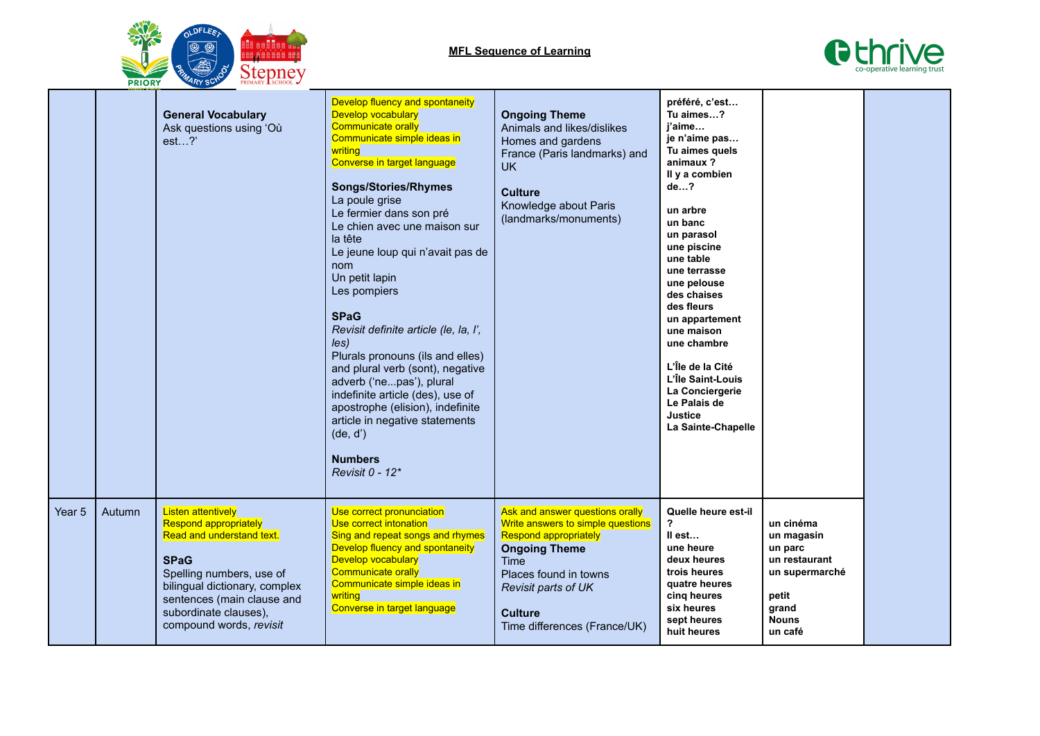



|        |        | <b>General Vocabulary</b><br>Ask questions using 'Où<br>$est$ ?                                                                                                                                                                                      | Develop fluency and spontaneity<br>Develop vocabulary<br><b>Communicate orally</b><br>Communicate simple ideas in<br>writing<br>Converse in target language<br><b>Songs/Stories/Rhymes</b><br>La poule grise<br>Le fermier dans son pré<br>Le chien avec une maison sur<br>la tête<br>Le jeune loup qui n'avait pas de<br>nom<br>Un petit lapin<br>Les pompiers<br><b>SPaG</b><br>Revisit definite article (le, la, l',<br>les)<br>Plurals pronouns (ils and elles)<br>and plural verb (sont), negative<br>adverb ('nepas'), plural<br>indefinite article (des), use of<br>apostrophe (elision), indefinite<br>article in negative statements<br>(de, d')<br><b>Numbers</b><br>Revisit 0 - 12* | <b>Ongoing Theme</b><br>Animals and likes/dislikes<br>Homes and gardens<br>France (Paris landmarks) and<br><b>UK</b><br><b>Culture</b><br>Knowledge about Paris<br>(landmarks/monuments)                                               | préféré, c'est<br>Tu aimes?<br>i'aime<br>je n'aime pas<br>Tu aimes quels<br>animaux?<br>Il y a combien<br>de?<br>un arbre<br>un banc<br>un parasol<br>une piscine<br>une table<br>une terrasse<br>une pelouse<br>des chaises<br>des fleurs<br>un appartement<br>une maison<br>une chambre<br>L'Île de la Cité<br>L'Île Saint-Louis<br>La Conciergerie<br>Le Palais de<br>Justice<br>La Sainte-Chapelle |                                                                                                                    |  |
|--------|--------|------------------------------------------------------------------------------------------------------------------------------------------------------------------------------------------------------------------------------------------------------|------------------------------------------------------------------------------------------------------------------------------------------------------------------------------------------------------------------------------------------------------------------------------------------------------------------------------------------------------------------------------------------------------------------------------------------------------------------------------------------------------------------------------------------------------------------------------------------------------------------------------------------------------------------------------------------------|----------------------------------------------------------------------------------------------------------------------------------------------------------------------------------------------------------------------------------------|--------------------------------------------------------------------------------------------------------------------------------------------------------------------------------------------------------------------------------------------------------------------------------------------------------------------------------------------------------------------------------------------------------|--------------------------------------------------------------------------------------------------------------------|--|
| Year 5 | Autumn | <b>Listen attentively</b><br><b>Respond appropriately</b><br>Read and understand text.<br><b>SPaG</b><br>Spelling numbers, use of<br>bilingual dictionary, complex<br>sentences (main clause and<br>subordinate clauses),<br>compound words, revisit | Use correct pronunciation<br>Use correct intonation<br>Sing and repeat songs and rhymes<br>Develop fluency and spontaneity<br><b>Develop vocabulary</b><br>Communicate orally<br>Communicate simple ideas in<br>writing<br>Converse in target language                                                                                                                                                                                                                                                                                                                                                                                                                                         | Ask and answer questions orally<br>Write answers to simple questions<br><b>Respond appropriately</b><br><b>Ongoing Theme</b><br>Time<br>Places found in towns<br>Revisit parts of UK<br><b>Culture</b><br>Time differences (France/UK) | Quelle heure est-il<br>?<br>II est<br>une heure<br>deux heures<br>trois heures<br>quatre heures<br>cing heures<br>six heures<br>sept heures<br>huit heures                                                                                                                                                                                                                                             | un cinéma<br>un magasin<br>un parc<br>un restaurant<br>un supermarché<br>petit<br>grand<br><b>Nouns</b><br>un café |  |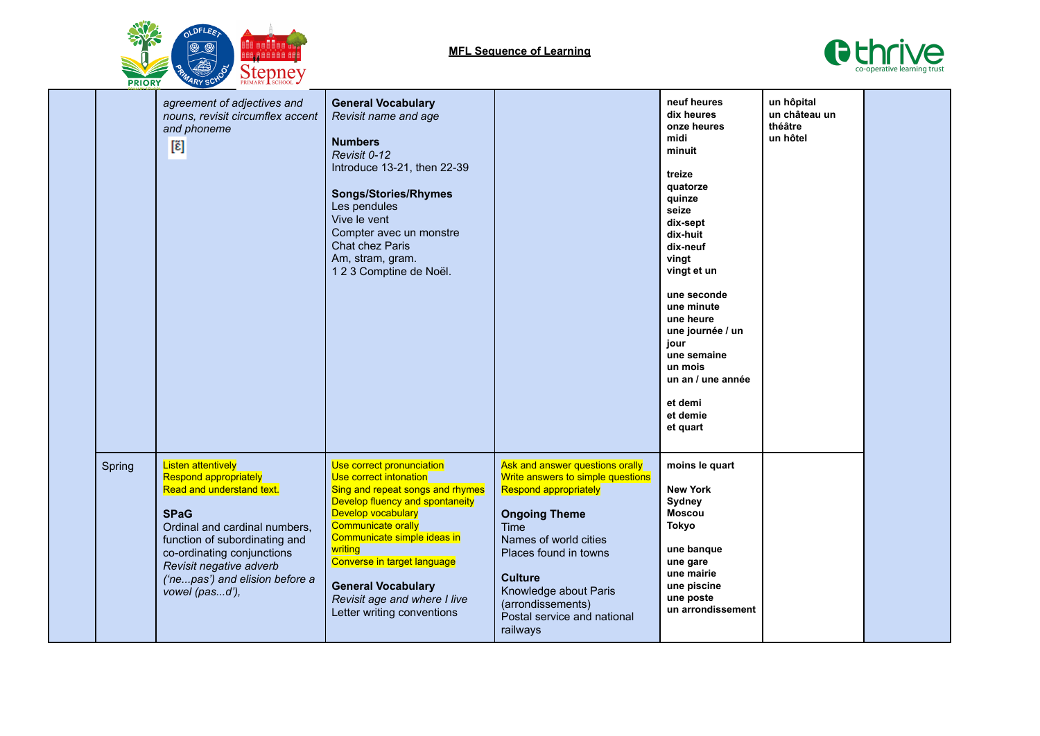

**MFL Sequence of Learning**



|  |        | agreement of adjectives and<br>nouns, revisit circumflex accent<br>and phoneme<br>[ɛ̃]                                                                                                                                                                                        | <b>General Vocabulary</b><br>Revisit name and age<br><b>Numbers</b><br>Revisit 0-12<br>Introduce 13-21, then 22-39<br><b>Songs/Stories/Rhymes</b><br>Les pendules<br>Vive le vent<br>Compter avec un monstre<br>Chat chez Paris<br>Am, stram, gram.<br>123 Comptine de Noël.                                                                      |                                                                                                                                                                                                                                                                                            | neuf heures<br>dix heures<br>onze heures<br>midi<br>minuit<br>treize<br>quatorze<br>quinze<br>seize<br>dix-sept<br>dix-huit<br>dix-neuf<br>vingt<br>vingt et un<br>une seconde<br>une minute<br>une heure<br>une journée / un<br>jour<br>une semaine<br>un mois<br>un an / une année<br>et demi<br>et demie<br>et quart | un hôpital<br>un château un<br>théâtre<br>un hôtel |  |
|--|--------|-------------------------------------------------------------------------------------------------------------------------------------------------------------------------------------------------------------------------------------------------------------------------------|---------------------------------------------------------------------------------------------------------------------------------------------------------------------------------------------------------------------------------------------------------------------------------------------------------------------------------------------------|--------------------------------------------------------------------------------------------------------------------------------------------------------------------------------------------------------------------------------------------------------------------------------------------|-------------------------------------------------------------------------------------------------------------------------------------------------------------------------------------------------------------------------------------------------------------------------------------------------------------------------|----------------------------------------------------|--|
|  | Spring | <b>Listen attentively</b><br>Respond appropriately<br>Read and understand text.<br><b>SPaG</b><br>Ordinal and cardinal numbers,<br>function of subordinating and<br>co-ordinating conjunctions<br>Revisit negative adverb<br>('nepas') and elision before a<br>vowel (pasd'), | Use correct pronunciation<br>Use correct intonation<br>Sing and repeat songs and rhymes<br>Develop fluency and spontaneity<br>Develop vocabulary<br><b>Communicate orally</b><br>Communicate simple ideas in<br>writing<br>Converse in target language<br><b>General Vocabulary</b><br>Revisit age and where I live<br>Letter writing conventions | Ask and answer questions orally<br>Write answers to simple questions<br>Respond appropriately<br><b>Ongoing Theme</b><br>Time<br>Names of world cities<br>Places found in towns<br><b>Culture</b><br>Knowledge about Paris<br>(arrondissements)<br>Postal service and national<br>railways | moins le quart<br><b>New York</b><br>Sydney<br><b>Moscou</b><br>Tokyo<br>une banque<br>une gare<br>une mairie<br>une piscine<br>une poste<br>un arrondissement                                                                                                                                                          |                                                    |  |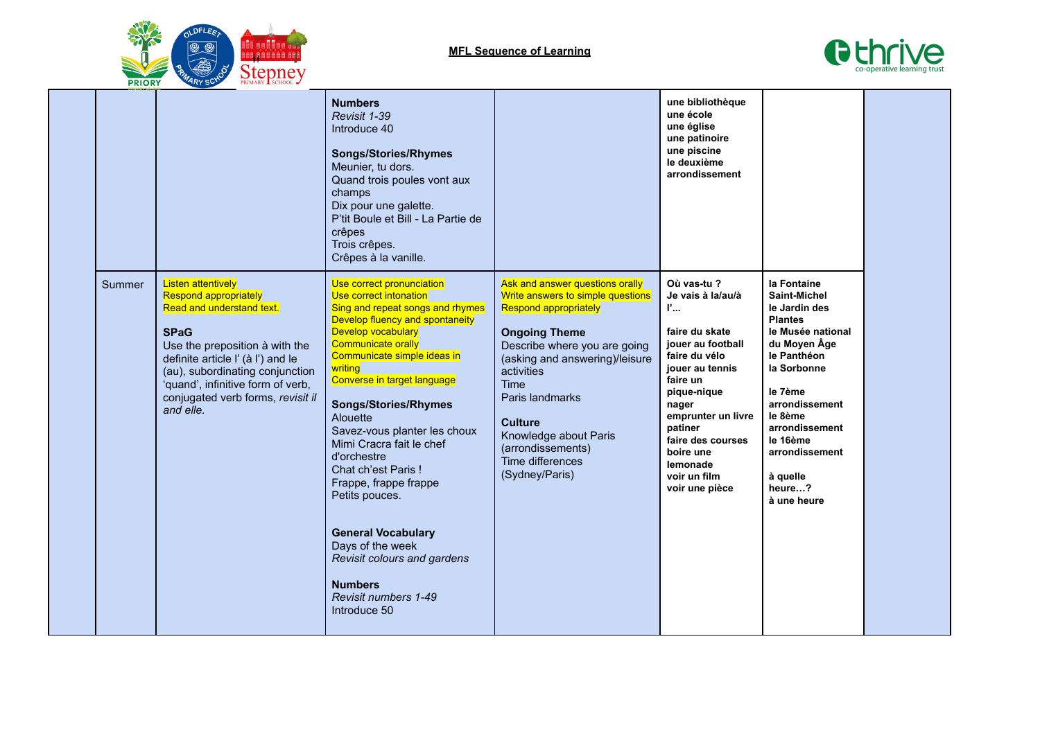



|        |                                                                                                                                                                                                                                                                                                        | <b>Numbers</b><br>Revisit 1-39<br>Introduce 40<br><b>Songs/Stories/Rhymes</b><br>Meunier, tu dors.<br>Quand trois poules vont aux<br>champs<br>Dix pour une galette.<br>P'tit Boule et Bill - La Partie de<br>crêpes<br>Trois crêpes.<br>Crêpes à la vanille.                                                                                                                                                                                                                                                                                                                           |                                                                                                                                                                                                                                                                                                                                               | une bibliothèque<br>une école<br>une église<br>une patinoire<br>une piscine<br>le deuxième<br>arrondissement                                                                                                                                                         |                                                                                                                                                                                                                                                                       |  |
|--------|--------------------------------------------------------------------------------------------------------------------------------------------------------------------------------------------------------------------------------------------------------------------------------------------------------|-----------------------------------------------------------------------------------------------------------------------------------------------------------------------------------------------------------------------------------------------------------------------------------------------------------------------------------------------------------------------------------------------------------------------------------------------------------------------------------------------------------------------------------------------------------------------------------------|-----------------------------------------------------------------------------------------------------------------------------------------------------------------------------------------------------------------------------------------------------------------------------------------------------------------------------------------------|----------------------------------------------------------------------------------------------------------------------------------------------------------------------------------------------------------------------------------------------------------------------|-----------------------------------------------------------------------------------------------------------------------------------------------------------------------------------------------------------------------------------------------------------------------|--|
| Summer | <b>Listen attentively</b><br><b>Respond appropriately</b><br>Read and understand text.<br><b>SPaG</b><br>Use the preposition à with the<br>definite article I' (à I') and le<br>(au), subordinating conjunction<br>'quand', infinitive form of verb,<br>conjugated verb forms, revisit il<br>and elle. | Use correct pronunciation<br>Use correct intonation<br>Sing and repeat songs and rhymes<br>Develop fluency and spontaneity<br>Develop vocabulary<br><b>Communicate orally</b><br>Communicate simple ideas in<br>writing<br>Converse in target language<br><b>Songs/Stories/Rhymes</b><br>Alouette<br>Savez-vous planter les choux<br>Mimi Cracra fait le chef<br>d'orchestre<br>Chat ch'est Paris!<br>Frappe, frappe frappe<br>Petits pouces.<br><b>General Vocabulary</b><br>Days of the week<br>Revisit colours and gardens<br><b>Numbers</b><br>Revisit numbers 1-49<br>Introduce 50 | Ask and answer questions orally<br>Write answers to simple questions<br><b>Respond appropriately</b><br><b>Ongoing Theme</b><br>Describe where you are going<br>(asking and answering)/leisure<br>activities<br>Time<br>Paris landmarks<br><b>Culture</b><br>Knowledge about Paris<br>(arrondissements)<br>Time differences<br>(Sydney/Paris) | Où vas-tu?<br>Je vais à la/au/à<br>P<br>faire du skate<br>jouer au football<br>faire du vélo<br>jouer au tennis<br>faire un<br>pique-nique<br>nager<br>emprunter un livre<br>patiner<br>faire des courses<br>boire une<br>lemonade<br>voir un film<br>voir une pièce | la Fontaine<br><b>Saint-Michel</b><br>le Jardin des<br><b>Plantes</b><br>le Musée national<br>du Moyen Âge<br>le Panthéon<br>la Sorbonne<br>le 7ème<br>arrondissement<br>le 8ème<br>arrondissement<br>le 16ème<br>arrondissement<br>à quelle<br>heure?<br>à une heure |  |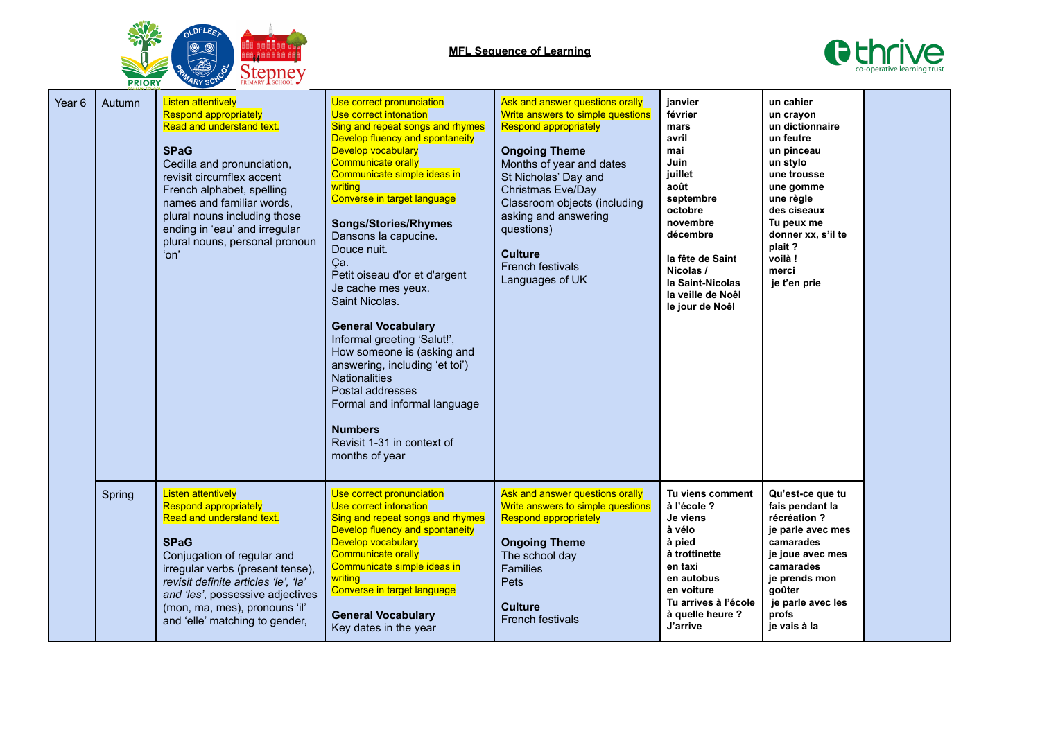



| Year 6 | Autumn | <b>Listen attentively</b><br><b>Respond appropriately</b><br>Read and understand text.<br><b>SPaG</b><br>Cedilla and pronunciation,<br>revisit circumflex accent<br>French alphabet, spelling<br>names and familiar words,<br>plural nouns including those<br>ending in 'eau' and irregular<br>plural nouns, personal pronoun<br>'on' | Use correct pronunciation<br>Use correct intonation<br>Sing and repeat songs and rhymes<br>Develop fluency and spontaneity<br><b>Develop vocabulary</b><br><b>Communicate orally</b><br>Communicate simple ideas in<br>writing<br>Converse in target language<br><b>Songs/Stories/Rhymes</b><br>Dansons la capucine.<br>Douce nuit.<br>Ça.<br>Petit oiseau d'or et d'argent<br>Je cache mes yeux.<br>Saint Nicolas.<br><b>General Vocabulary</b><br>Informal greeting 'Salut!',<br>How someone is (asking and<br>answering, including 'et toi')<br><b>Nationalities</b><br>Postal addresses<br>Formal and informal language<br><b>Numbers</b><br>Revisit 1-31 in context of<br>months of year | Ask and answer questions orally<br>Write answers to simple questions<br><b>Respond appropriately</b><br><b>Ongoing Theme</b><br>Months of year and dates<br>St Nicholas' Day and<br>Christmas Eve/Day<br>Classroom objects (including<br>asking and answering<br>questions)<br><b>Culture</b><br>French festivals<br>Languages of UK | janvier<br>février<br>mars<br>avril<br>mai<br>Juin<br>juillet<br>août<br>septembre<br>octobre<br>novembre<br>décembre<br>la fête de Saint<br>Nicolas /<br>la Saint-Nicolas<br>la veille de Noêl<br>le jour de Noêl | un cahier<br>un crayon<br>un dictionnaire<br>un feutre<br>un pinceau<br>un stylo<br>une trousse<br>une gomme<br>une règle<br>des ciseaux<br>Tu peux me<br>donner xx, s'il te<br>plait?<br>voilà!<br>merci<br>je t'en prie |  |
|--------|--------|---------------------------------------------------------------------------------------------------------------------------------------------------------------------------------------------------------------------------------------------------------------------------------------------------------------------------------------|-----------------------------------------------------------------------------------------------------------------------------------------------------------------------------------------------------------------------------------------------------------------------------------------------------------------------------------------------------------------------------------------------------------------------------------------------------------------------------------------------------------------------------------------------------------------------------------------------------------------------------------------------------------------------------------------------|--------------------------------------------------------------------------------------------------------------------------------------------------------------------------------------------------------------------------------------------------------------------------------------------------------------------------------------|--------------------------------------------------------------------------------------------------------------------------------------------------------------------------------------------------------------------|---------------------------------------------------------------------------------------------------------------------------------------------------------------------------------------------------------------------------|--|
|        | Spring | <b>Listen attentively</b><br><b>Respond appropriately</b><br>Read and understand text.<br><b>SPaG</b><br>Conjugation of regular and<br>irregular verbs (present tense),<br>revisit definite articles 'le', 'la'<br>and 'les', possessive adjectives<br>(mon, ma, mes), pronouns 'il'<br>and 'elle' matching to gender,                | Use correct pronunciation<br>Use correct intonation<br>Sing and repeat songs and rhymes<br>Develop fluency and spontaneity<br>Develop vocabulary<br><b>Communicate orally</b><br>Communicate simple ideas in<br>writing<br>Converse in target language<br><b>General Vocabulary</b><br>Key dates in the year                                                                                                                                                                                                                                                                                                                                                                                  | Ask and answer questions orally<br>Write answers to simple questions<br><b>Respond appropriately</b><br><b>Ongoing Theme</b><br>The school day<br><b>Families</b><br>Pets<br><b>Culture</b><br><b>French festivals</b>                                                                                                               | Tu viens comment<br>à l'école ?<br>Je viens<br>à vélo<br>à pied<br>à trottinette<br>en taxi<br>en autobus<br>en voiture<br>Tu arrives à l'école<br>à quelle heure ?<br>J'arrive                                    | Qu'est-ce que tu<br>fais pendant la<br>récréation?<br>je parle avec mes<br>camarades<br>je joue avec mes<br>camarades<br>je prends mon<br>goûter<br>je parle avec les<br>profs<br>je vais à la                            |  |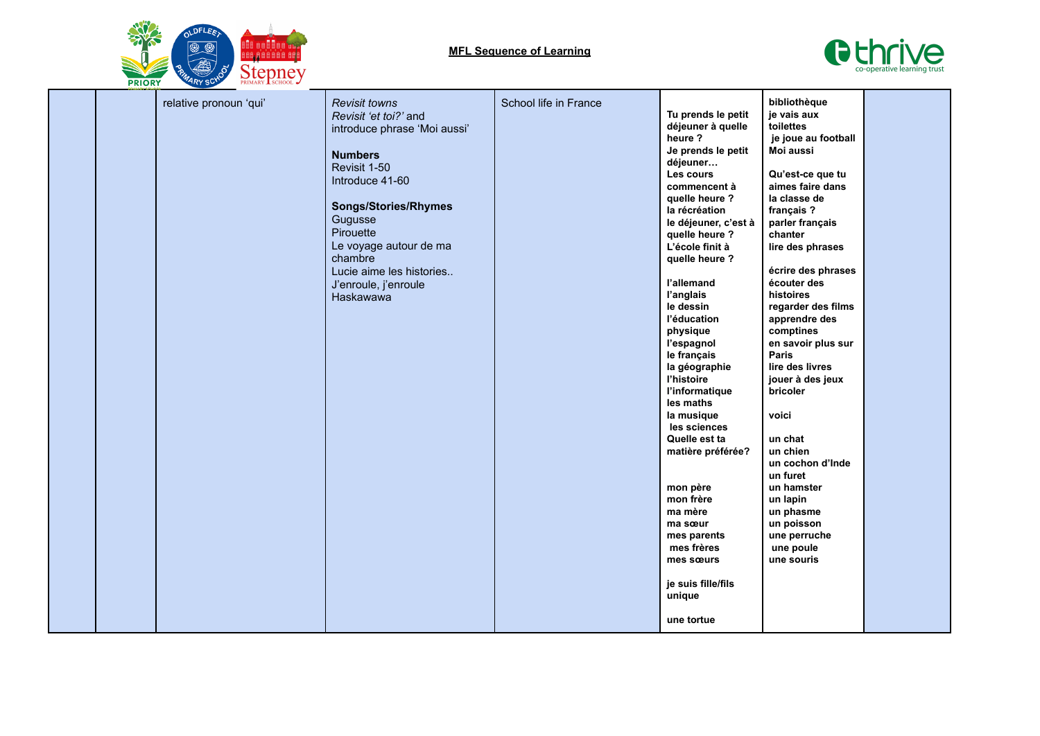



|  | relative pronoun 'qui' | <b>Revisit towns</b><br>Revisit 'et toi?' and<br>introduce phrase 'Moi aussi'<br><b>Numbers</b><br>Revisit 1-50<br>Introduce 41-60<br><b>Songs/Stories/Rhymes</b><br>Gugusse<br>Pirouette<br>Le voyage autour de ma<br>chambre<br>Lucie aime les histories<br>J'enroule, j'enroule<br>Haskawawa | School life in France | Tu prends le petit<br>déjeuner à quelle<br>heure ?<br>Je prends le petit<br>déjeuner<br>Les cours<br>commencent à<br>quelle heure ?<br>la récréation<br>le déjeuner, c'est à<br>quelle heure ?<br>L'école finit à<br>quelle heure ?<br>l'allemand<br>l'anglais<br>le dessin<br>l'éducation<br>physique<br>l'espagnol<br>le français<br>la géographie<br>l'histoire<br>l'informatique<br>les maths<br>la musique<br>les sciences<br>Quelle est ta<br>matière préférée?<br>mon père<br>mon frère<br>ma mère<br>ma sœur<br>mes parents<br>mes frères<br>mes sœurs<br>je suis fille/fils<br>unique | bibliothèque<br>je vais aux<br>toilettes<br>je joue au football<br>Moi aussi<br>Qu'est-ce que tu<br>aimes faire dans<br>la classe de<br>français?<br>parler français<br>chanter<br>lire des phrases<br>écrire des phrases<br>écouter des<br>histoires<br>regarder des films<br>apprendre des<br>comptines<br>en savoir plus sur<br>Paris<br>lire des livres<br>jouer à des jeux<br>bricoler<br>voici<br>un chat<br>un chien<br>un cochon d'Inde<br>un furet<br>un hamster<br>un lapin<br>un phasme<br>un poisson<br>une perruche<br>une poule<br>une souris |  |
|--|------------------------|-------------------------------------------------------------------------------------------------------------------------------------------------------------------------------------------------------------------------------------------------------------------------------------------------|-----------------------|------------------------------------------------------------------------------------------------------------------------------------------------------------------------------------------------------------------------------------------------------------------------------------------------------------------------------------------------------------------------------------------------------------------------------------------------------------------------------------------------------------------------------------------------------------------------------------------------|-------------------------------------------------------------------------------------------------------------------------------------------------------------------------------------------------------------------------------------------------------------------------------------------------------------------------------------------------------------------------------------------------------------------------------------------------------------------------------------------------------------------------------------------------------------|--|
|  |                        |                                                                                                                                                                                                                                                                                                 |                       | une tortue                                                                                                                                                                                                                                                                                                                                                                                                                                                                                                                                                                                     |                                                                                                                                                                                                                                                                                                                                                                                                                                                                                                                                                             |  |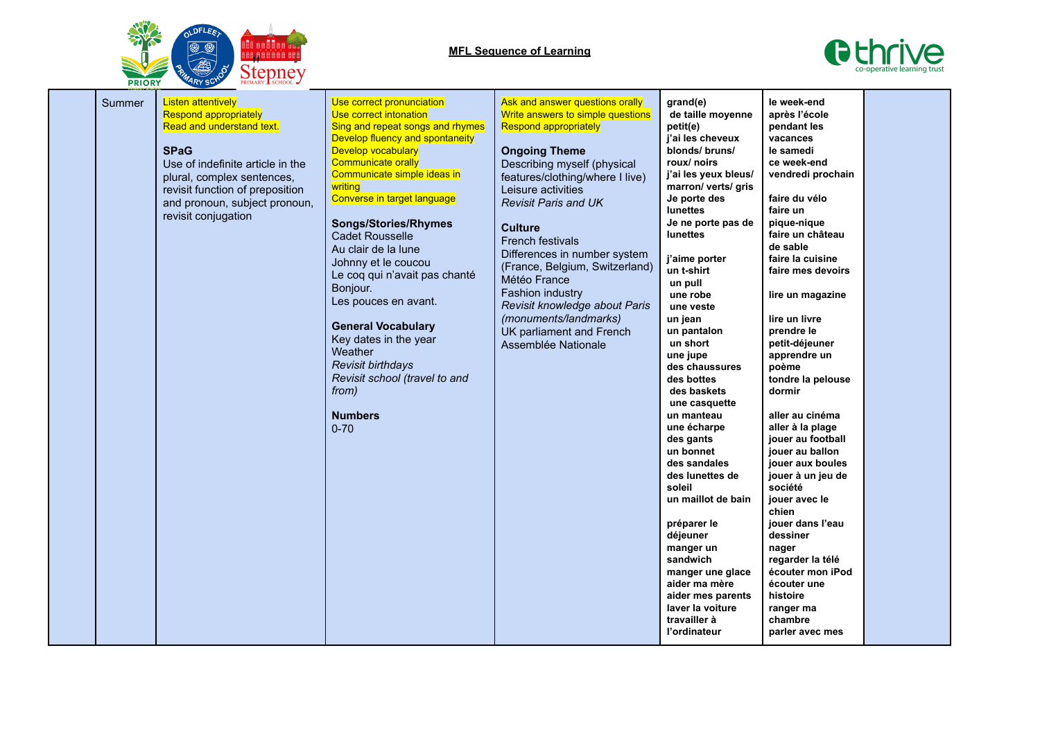

## **MFL Sequence of Learning**



|  | Summer | <b>Listen attentively</b><br><b>Respond appropriately</b><br>Read and understand text.<br><b>SPaG</b><br>Use of indefinite article in the<br>plural, complex sentences,<br>revisit function of preposition<br>and pronoun, subject pronoun,<br>revisit conjugation | Use correct pronunciation<br>Use correct intonation<br>Sing and repeat songs and rhymes<br>Develop fluency and spontaneity<br><b>Develop vocabulary</b><br><b>Communicate orally</b><br>Communicate simple ideas in<br>writing<br>Converse in target language<br><b>Songs/Stories/Rhymes</b><br><b>Cadet Rousselle</b><br>Au clair de la lune<br>Johnny et le coucou<br>Le coq qui n'avait pas chanté<br>Bonjour.<br>Les pouces en avant.<br><b>General Vocabulary</b><br>Key dates in the year<br>Weather<br>Revisit birthdays<br>Revisit school (travel to and<br>from)<br><b>Numbers</b><br>$0 - 70$ | Ask and answer questions orally<br>Write answers to simple questions<br><b>Respond appropriately</b><br><b>Ongoing Theme</b><br>Describing myself (physical<br>features/clothing/where I live)<br>Leisure activities<br><b>Revisit Paris and UK</b><br><b>Culture</b><br>French festivals<br>Differences in number system<br>(France, Belgium, Switzerland)<br>Météo France<br>Fashion industry<br>Revisit knowledge about Paris<br>(monuments/landmarks)<br>UK parliament and French<br>Assemblée Nationale | grand(e)<br>de taille moyenne<br>petit(e)<br>j'ai les cheveux<br>blonds/ bruns/<br>roux/ noirs<br>j'ai les yeux bleus/<br>marron/ verts/ gris<br>Je porte des<br><b>lunettes</b><br>Je ne porte pas de<br>lunettes<br>j'aime porter<br>un t-shirt<br>un pull<br>une robe<br>une veste<br>un jean<br>un pantalon<br>un short<br>une jupe<br>des chaussures<br>des bottes<br>des baskets<br>une casquette<br>un manteau<br>une écharpe<br>des gants<br>un bonnet<br>des sandales<br>des lunettes de<br>soleil<br>un maillot de bain<br>préparer le<br>déjeuner<br>manger un<br>sandwich<br>manger une glace<br>aider ma mère<br>aider mes parents<br>laver la voiture<br>travailler à<br>l'ordinateur | le week-end<br>après l'école<br>pendant les<br>vacances<br>le samedi<br>ce week-end<br>vendredi prochain<br>faire du vélo<br>faire un<br>pique-nique<br>faire un château<br>de sable<br>faire la cuisine<br>faire mes devoirs<br>lire un magazine<br>lire un livre<br>prendre le<br>petit-déjeuner<br>apprendre un<br>poème<br>tondre la pelouse<br>dormir<br>aller au cinéma<br>aller à la plage<br>jouer au football<br>jouer au ballon<br>jouer aux boules<br>jouer à un jeu de<br>société<br>jouer avec le<br>chien<br>jouer dans l'eau<br>dessiner<br>nager<br>regarder la télé<br>écouter mon iPod<br>écouter une<br>histoire<br>ranger ma<br>chambre<br>parler avec mes |  |
|--|--------|--------------------------------------------------------------------------------------------------------------------------------------------------------------------------------------------------------------------------------------------------------------------|---------------------------------------------------------------------------------------------------------------------------------------------------------------------------------------------------------------------------------------------------------------------------------------------------------------------------------------------------------------------------------------------------------------------------------------------------------------------------------------------------------------------------------------------------------------------------------------------------------|--------------------------------------------------------------------------------------------------------------------------------------------------------------------------------------------------------------------------------------------------------------------------------------------------------------------------------------------------------------------------------------------------------------------------------------------------------------------------------------------------------------|-----------------------------------------------------------------------------------------------------------------------------------------------------------------------------------------------------------------------------------------------------------------------------------------------------------------------------------------------------------------------------------------------------------------------------------------------------------------------------------------------------------------------------------------------------------------------------------------------------------------------------------------------------------------------------------------------------|--------------------------------------------------------------------------------------------------------------------------------------------------------------------------------------------------------------------------------------------------------------------------------------------------------------------------------------------------------------------------------------------------------------------------------------------------------------------------------------------------------------------------------------------------------------------------------------------------------------------------------------------------------------------------------|--|
|--|--------|--------------------------------------------------------------------------------------------------------------------------------------------------------------------------------------------------------------------------------------------------------------------|---------------------------------------------------------------------------------------------------------------------------------------------------------------------------------------------------------------------------------------------------------------------------------------------------------------------------------------------------------------------------------------------------------------------------------------------------------------------------------------------------------------------------------------------------------------------------------------------------------|--------------------------------------------------------------------------------------------------------------------------------------------------------------------------------------------------------------------------------------------------------------------------------------------------------------------------------------------------------------------------------------------------------------------------------------------------------------------------------------------------------------|-----------------------------------------------------------------------------------------------------------------------------------------------------------------------------------------------------------------------------------------------------------------------------------------------------------------------------------------------------------------------------------------------------------------------------------------------------------------------------------------------------------------------------------------------------------------------------------------------------------------------------------------------------------------------------------------------------|--------------------------------------------------------------------------------------------------------------------------------------------------------------------------------------------------------------------------------------------------------------------------------------------------------------------------------------------------------------------------------------------------------------------------------------------------------------------------------------------------------------------------------------------------------------------------------------------------------------------------------------------------------------------------------|--|